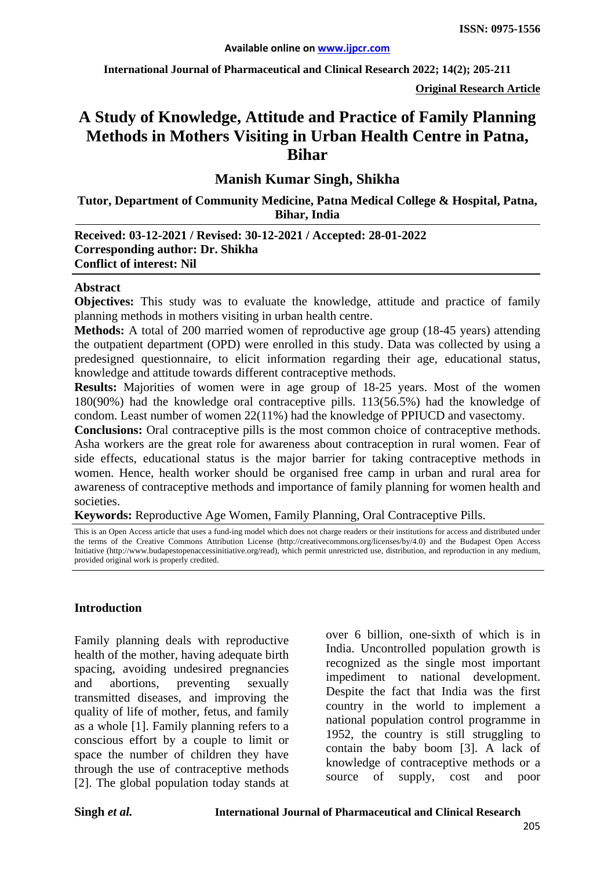**International Journal of Pharmaceutical and Clinical Research 2022; 14(2); 205-211**

**Original Research Article**

# **A Study of Knowledge, Attitude and Practice of Family Planning Methods in Mothers Visiting in Urban Health Centre in Patna, Bihar**

**Manish Kumar Singh, Shikha**

**Tutor, Department of Community Medicine, Patna Medical College & Hospital, Patna, Bihar, India**

**Received: 03-12-2021 / Revised: 30-12-2021 / Accepted: 28-01-2022 Corresponding author: Dr. Shikha Conflict of interest: Nil**

#### **Abstract**

**Objectives:** This study was to evaluate the knowledge, attitude and practice of family planning methods in mothers visiting in urban health centre.

**Methods:** A total of 200 married women of reproductive age group (18-45 years) attending the outpatient department (OPD) were enrolled in this study. Data was collected by using a predesigned questionnaire, to elicit information regarding their age, educational status, knowledge and attitude towards different contraceptive methods.

**Results:** Majorities of women were in age group of 18-25 years. Most of the women 180(90%) had the knowledge oral contraceptive pills. 113(56.5%) had the knowledge of condom. Least number of women 22(11%) had the knowledge of PPIUCD and vasectomy.

**Conclusions:** Oral contraceptive pills is the most common choice of contraceptive methods. Asha workers are the great role for awareness about contraception in rural women. Fear of side effects, educational status is the major barrier for taking contraceptive methods in women. Hence, health worker should be organised free camp in urban and rural area for awareness of contraceptive methods and importance of family planning for women health and societies.

**Keywords:** Reproductive Age Women, Family Planning, Oral Contraceptive Pills.

This is an Open Access article that uses a fund-ing model which does not charge readers or their institutions for access and distributed under the terms of the Creative Commons Attribution License (http://creativecommons.org/licenses/by/4.0) and the Budapest Open Access Initiative (http://www.budapestopenaccessinitiative.org/read), which permit unrestricted use, distribution, and reproduction in any medium, provided original work is properly credited.

#### **Introduction**

Family planning deals with reproductive health of the mother, having adequate birth spacing, avoiding undesired pregnancies and abortions, preventing sexually transmitted diseases, and improving the quality of life of mother, fetus, and family as a whole [1]. Family planning refers to a conscious effort by a couple to limit or space the number of children they have through the use of contraceptive methods [2]. The global population today stands at over 6 billion, one-sixth of which is in India. Uncontrolled population growth is recognized as the single most important impediment to national development. Despite the fact that India was the first country in the world to implement a national population control programme in 1952, the country is still struggling to contain the baby boom [3]. A lack of knowledge of contraceptive methods or a source of supply, cost and poor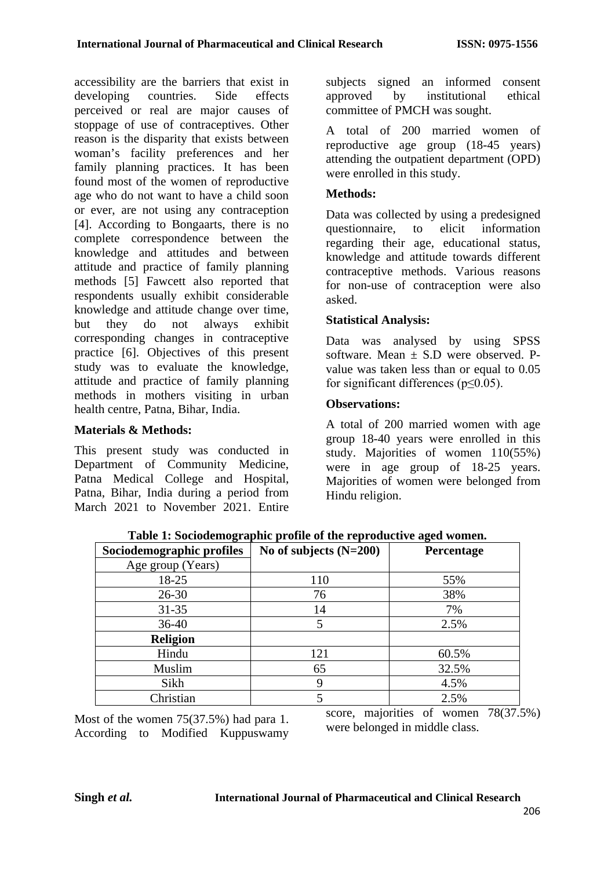accessibility are the barriers that exist in developing countries. Side effects perceived or real are major causes of stoppage of use of contraceptives. Other reason is the disparity that exists between woman's facility preferences and her family planning practices. It has been found most of the women of reproductive age who do not want to have a child soon or ever, are not using any contraception [4]. According to Bongaarts, there is no complete correspondence between the knowledge and attitudes and between attitude and practice of family planning methods [5] Fawcett also reported that respondents usually exhibit considerable knowledge and attitude change over time, but they do not always exhibit corresponding changes in contraceptive practice [6]. Objectives of this present study was to evaluate the knowledge, attitude and practice of family planning methods in mothers visiting in urban health centre, Patna, Bihar, India.

## **Materials & Methods:**

This present study was conducted in Department of Community Medicine, Patna Medical College and Hospital, Patna, Bihar, India during a period from March 2021 to November 2021. Entire subjects signed an informed consent approved by institutional ethical committee of PMCH was sought.

A total of 200 married women of reproductive age group (18-45 years) attending the outpatient department (OPD) were enrolled in this study.

#### **Methods:**

Data was collected by using a predesigned questionnaire, to elicit information regarding their age, educational status, knowledge and attitude towards different contraceptive methods. Various reasons for non-use of contraception were also asked.

### **Statistical Analysis:**

Data was analysed by using SPSS software. Mean  $\pm$  S.D were observed. Pvalue was taken less than or equal to  $0.05$ for significant differences (p≤0.05).

### **Observations:**

A total of 200 married women with age group 18-40 years were enrolled in this study. Majorities of women 110(55%) were in age group of 18-25 years. Majorities of women were belonged from Hindu religion.

| Sociodemographic profiles | No of subjects $(N=200)$ | Percentage |  |  |
|---------------------------|--------------------------|------------|--|--|
| Age group (Years)         |                          |            |  |  |
| 18-25                     | 110                      | 55%        |  |  |
| $26 - 30$                 | 76                       | 38%        |  |  |
| $31 - 35$                 | 14                       | 7%         |  |  |
| 36-40                     |                          | 2.5%       |  |  |
| <b>Religion</b>           |                          |            |  |  |
| Hindu                     | 121                      | 60.5%      |  |  |
| Muslim                    | 65                       | 32.5%      |  |  |
| Sikh                      | y                        | 4.5%       |  |  |
| Christian                 |                          | 2.5%       |  |  |

**Table 1: Sociodemographic profile of the reproductive aged women.**

Most of the women 75(37.5%) had para 1. According to Modified Kuppuswamy score, majorities of women 78(37.5%) were belonged in middle class.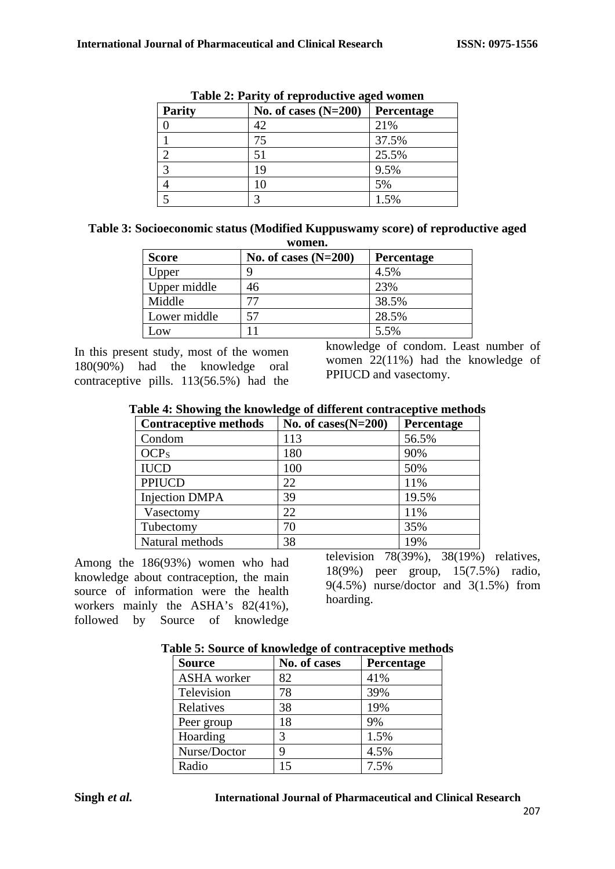| Table 2. I arry of reproductive agea women |                        |            |  |  |
|--------------------------------------------|------------------------|------------|--|--|
| <b>Parity</b>                              | No. of cases $(N=200)$ | Percentage |  |  |
|                                            | 42                     | 21%        |  |  |
|                                            | 75                     | 37.5%      |  |  |
|                                            | 51                     | 25.5%      |  |  |
| 3                                          | 19                     | 9.5%       |  |  |
|                                            | 10                     | 5%         |  |  |
|                                            |                        | 1.5%       |  |  |

**Table 2: Parity of reproductive aged women**

| Table 3: Socioeconomic status (Modified Kuppuswamy score) of reproductive aged |  |
|--------------------------------------------------------------------------------|--|
| women.                                                                         |  |

| ** ********  |                        |                   |  |  |  |  |
|--------------|------------------------|-------------------|--|--|--|--|
| <b>Score</b> | No. of cases $(N=200)$ | <b>Percentage</b> |  |  |  |  |
| Upper        | q                      | 4.5%              |  |  |  |  |
| Upper middle | 46                     | 23%               |  |  |  |  |
| Middle       |                        | 38.5%             |  |  |  |  |
| Lower middle |                        | 28.5%             |  |  |  |  |
| Low          |                        | 5.5%              |  |  |  |  |

In this present study, most of the women 180(90%) had the knowledge oral contraceptive pills. 113(56.5%) had the knowledge of condom. Least number of women 22(11%) had the knowledge of PPIUCD and vasectomy.

|  | Table 4: Showing the knowledge of different contraceptive methods |
|--|-------------------------------------------------------------------|
|  |                                                                   |

| <b>Contraceptive methods</b> | No. of cases $(N=200)$ | Percentage |
|------------------------------|------------------------|------------|
| Condom                       | 113                    | 56.5%      |
| OCP <sub>S</sub>             | 180                    | 90%        |
| <b>IUCD</b>                  | 100                    | 50%        |
| <b>PPIUCD</b>                | 22                     | 11%        |
| <b>Injection DMPA</b>        | 39                     | 19.5%      |
| Vasectomy                    | 22                     | 11%        |
| Tubectomy                    | 70                     | 35%        |
| Natural methods              | 38                     | 19%        |

Among the 186(93%) women who had knowledge about contraception, the main source of information were the health workers mainly the ASHA's 82(41%), followed by Source of knowledge

television 78(39%), 38(19%) relatives, 18(9%) peer group, 15(7.5%) radio,  $9(4.5\%)$  nurse/doctor and  $3(1.5\%)$  from hoarding.

| abic or bource or knowledge or contraceptive include<br><b>Source</b> | No. of cases | Percentage |
|-----------------------------------------------------------------------|--------------|------------|
| <b>ASHA</b> worker                                                    | 82           | 41%        |
| Television                                                            | 78           | 39%        |
| Relatives                                                             | 38           | 19%        |
| Peer group                                                            | 18           | 9%         |
| Hoarding                                                              | 3            | 1.5%       |
| Nurse/Doctor                                                          | 9            | 4.5%       |
| Radio                                                                 | 15           | 7.5%       |

### **Table 5: Source of knowledge of contraceptive methods**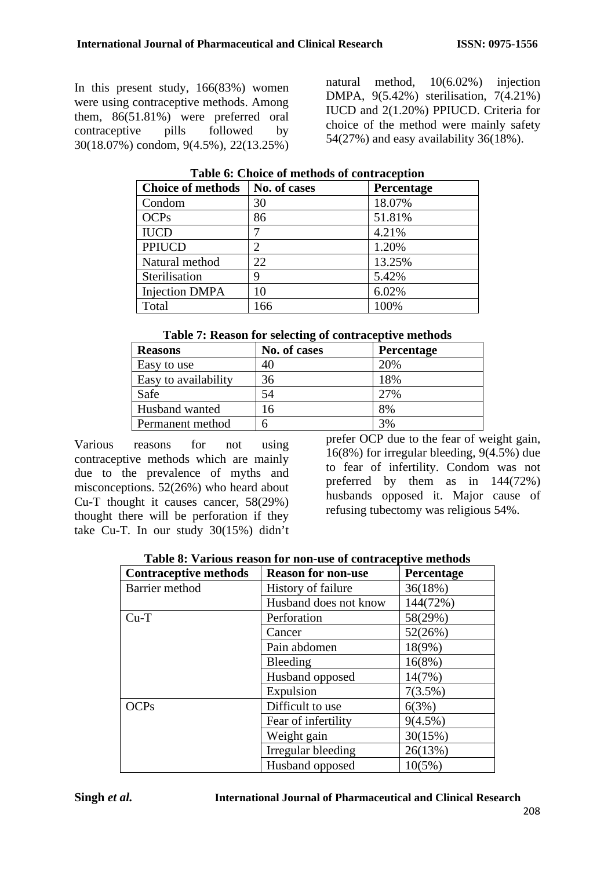In this present study, 166(83%) women were using contraceptive methods. Among them, 86(51.81%) were preferred oral contraceptive pills followed by 30(18.07%) condom, 9(4.5%), 22(13.25%) natural method, 10(6.02%) injection DMPA, 9(5.42%) sterilisation, 7(4.21%) IUCD and 2(1.20%) PPIUCD. Criteria for choice of the method were mainly safety 54(27%) and easy availability 36(18%).

| No. of cases | Percentage |  |  |  |  |  |
|--------------|------------|--|--|--|--|--|
|              | 18.07%     |  |  |  |  |  |
|              | 51.81%     |  |  |  |  |  |
|              | 4.21%      |  |  |  |  |  |
|              | 1.20%      |  |  |  |  |  |
|              | 13.25%     |  |  |  |  |  |
|              | 5.42%      |  |  |  |  |  |
|              | 6.02%      |  |  |  |  |  |
| 166          | 100%       |  |  |  |  |  |
|              |            |  |  |  |  |  |

| Table 6: Choice of methods of contraception |  |
|---------------------------------------------|--|
|---------------------------------------------|--|

| <b>Reasons</b>       | No. of cases | Percentage |
|----------------------|--------------|------------|
| Easy to use          | 40           | 20%        |
| Easy to availability | 36           | 18%        |
| Safe                 | 54           | 27%        |
| Husband wanted       | 16           | 8%         |
| Permanent method     | 6            | 3%         |

Various reasons for not using contraceptive methods which are mainly due to the prevalence of myths and misconceptions. 52(26%) who heard about Cu-T thought it causes cancer, 58(29%) thought there will be perforation if they take Cu-T. In our study 30(15%) didn't prefer OCP due to the fear of weight gain, 16(8%) for irregular bleeding, 9(4.5%) due to fear of infertility. Condom was not preferred by them as in 144(72%) husbands opposed it. Major cause of refusing tubectomy was religious 54%.

|  |  |  | Table 8: Various reason for non-use of contraceptive methods |  |
|--|--|--|--------------------------------------------------------------|--|
|  |  |  |                                                              |  |

| <b>Contraceptive methods</b> | <b>Reason for non-use</b> | <b>Percentage</b> |
|------------------------------|---------------------------|-------------------|
| Barrier method               | History of failure        | 36(18%)           |
|                              | Husband does not know     | 144(72%)          |
| $Cu-T$                       | Perforation               | 58(29%)           |
|                              | Cancer                    | 52(26%)           |
|                              | Pain abdomen              | 18(9%)            |
|                              | Bleeding                  | 16(8%)            |
|                              | Husband opposed           | 14(7%)            |
|                              | Expulsion                 | $7(3.5\%)$        |
| OCP <sub>S</sub>             | Difficult to use          | 6(3%)             |
|                              | Fear of infertility       | $9(4.5\%)$        |
|                              | Weight gain               | 30(15%)           |
|                              | Irregular bleeding        | 26(13%)           |
|                              | Husband opposed           | 10(5%)            |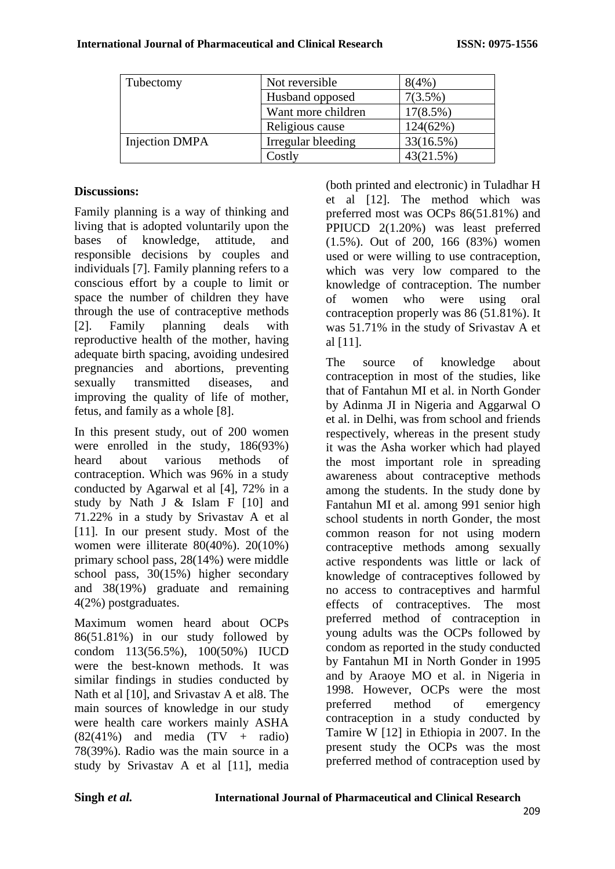| Tubectomy             | Not reversible     | 8(4%)       |
|-----------------------|--------------------|-------------|
|                       | Husband opposed    | 7(3.5%)     |
|                       | Want more children | $17(8.5\%)$ |
|                       | Religious cause    | 124(62%)    |
| <b>Injection DMPA</b> | Irregular bleeding | 33(16.5%)   |
|                       | Costly             | 43(21.5%)   |

### **Discussions:**

Family planning is a way of thinking and living that is adopted voluntarily upon the bases of knowledge, attitude, and responsible decisions by couples and individuals [7]. Family planning refers to a conscious effort by a couple to limit or space the number of children they have through the use of contraceptive methods [2]. Family planning deals with reproductive health of the mother, having adequate birth spacing, avoiding undesired pregnancies and abortions, preventing sexually transmitted diseases, and improving the quality of life of mother, fetus, and family as a whole [8].

In this present study, out of 200 women were enrolled in the study, 186(93%) heard about various methods of contraception. Which was 96% in a study conducted by Agarwal et al [4], 72% in a study by Nath J & Islam F [10] and 71.22% in a study by Srivastav A et al [11]. In our present study. Most of the women were illiterate 80(40%). 20(10%) primary school pass, 28(14%) were middle school pass, 30(15%) higher secondary and 38(19%) graduate and remaining 4(2%) postgraduates.

Maximum women heard about OCPs 86(51.81%) in our study followed by condom 113(56.5%), 100(50%) IUCD were the best-known methods. It was similar findings in studies conducted by Nath et al [10], and Srivastav A et al8. The main sources of knowledge in our study were health care workers mainly ASHA  $(82(41%)$  and media  $(TV + radio)$ 78(39%). Radio was the main source in a study by Srivastav A et al [11], media (both printed and electronic) in Tuladhar H et al [12]. The method which was preferred most was OCPs 86(51.81%) and PPIUCD 2(1.20%) was least preferred (1.5%). Out of 200, 166 (83%) women used or were willing to use contraception, which was very low compared to the knowledge of contraception. The number of women who were using oral contraception properly was 86 (51.81%). It was 51.71% in the study of Srivastav A et al [11].

The source of knowledge about contraception in most of the studies, like that of Fantahun MI et al. in North Gonder by Adinma JI in Nigeria and Aggarwal O et al. in Delhi, was from school and friends respectively, whereas in the present study it was the Asha worker which had played the most important role in spreading awareness about contraceptive methods among the students. In the study done by Fantahun MI et al. among 991 senior high school students in north Gonder, the most common reason for not using modern contraceptive methods among sexually active respondents was little or lack of knowledge of contraceptives followed by no access to contraceptives and harmful effects of contraceptives. The most preferred method of contraception in young adults was the OCPs followed by condom as reported in the study conducted by Fantahun MI in North Gonder in 1995 and by Araoye MO et al. in Nigeria in 1998. However, OCPs were the most preferred method of emergency contraception in a study conducted by Tamire W [12] in Ethiopia in 2007. In the present study the OCPs was the most preferred method of contraception used by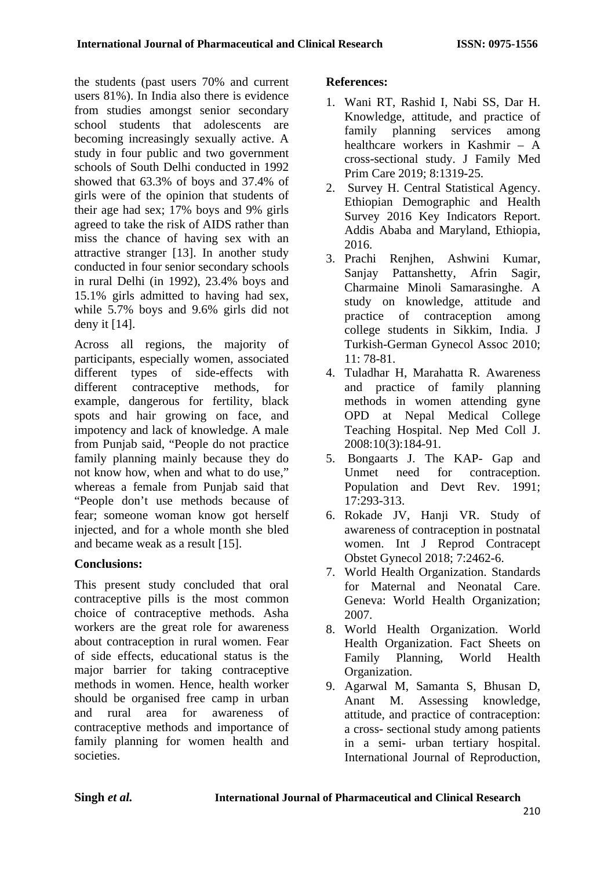the students (past users 70% and current users 81%). In India also there is evidence from studies amongst senior secondary school students that adolescents are becoming increasingly sexually active. A study in four public and two government schools of South Delhi conducted in 1992 showed that 63.3% of boys and 37.4% of girls were of the opinion that students of their age had sex; 17% boys and 9% girls agreed to take the risk of AIDS rather than miss the chance of having sex with an attractive stranger [13]. In another study conducted in four senior secondary schools in rural Delhi (in 1992), 23.4% boys and 15.1% girls admitted to having had sex, while 5.7% boys and 9.6% girls did not deny it [14].

Across all regions, the majority of participants, especially women, associated different types of side-effects with different contraceptive methods, for example, dangerous for fertility, black spots and hair growing on face, and impotency and lack of knowledge. A male from Punjab said, "People do not practice family planning mainly because they do not know how, when and what to do use," whereas a female from Punjab said that "People don't use methods because of fear; someone woman know got herself injected, and for a whole month she bled and became weak as a result [15].

# **Conclusions:**

This present study concluded that oral contraceptive pills is the most common choice of contraceptive methods. Asha workers are the great role for awareness about contraception in rural women. Fear of side effects, educational status is the major barrier for taking contraceptive methods in women. Hence, health worker should be organised free camp in urban and rural area for awareness of contraceptive methods and importance of family planning for women health and societies.

# **References:**

- 1. Wani RT, Rashid I, Nabi SS, Dar H. Knowledge, attitude, and practice of family planning services among healthcare workers in Kashmir – A cross-sectional study. J Family Med Prim Care 2019; 8:1319-25.
- 2. Survey H. Central Statistical Agency. Ethiopian Demographic and Health Survey 2016 Key Indicators Report. Addis Ababa and Maryland, Ethiopia, 2016.
- 3. Prachi Renjhen, Ashwini Kumar, Sanjay Pattanshetty, Afrin Sagir, Charmaine Minoli Samarasinghe. A study on knowledge, attitude and practice of contraception among college students in Sikkim, India. J Turkish-German Gynecol Assoc 2010; 11: 78-81.
- 4. Tuladhar H, Marahatta R. Awareness and practice of family planning methods in women attending gyne OPD at Nepal Medical College Teaching Hospital. Nep Med Coll J. 2008:10(3):184-91.
- 5. Bongaarts J. The KAP- Gap and Unmet need for contraception. Population and Devt Rev. 1991; 17:293-313.
- 6. Rokade JV, Hanji VR. Study of awareness of contraception in postnatal women. Int J Reprod Contracept Obstet Gynecol 2018; 7:2462-6.
- 7. World Health Organization. Standards for Maternal and Neonatal Care. Geneva: World Health Organization; 2007.
- 8. World Health Organization. World Health Organization. Fact Sheets on Family Planning, World Health Organization.
- 9. Agarwal M, Samanta S, Bhusan D, Anant M. Assessing knowledge, attitude, and practice of contraception: a cross- sectional study among patients in a semi- urban tertiary hospital. International Journal of Reproduction,